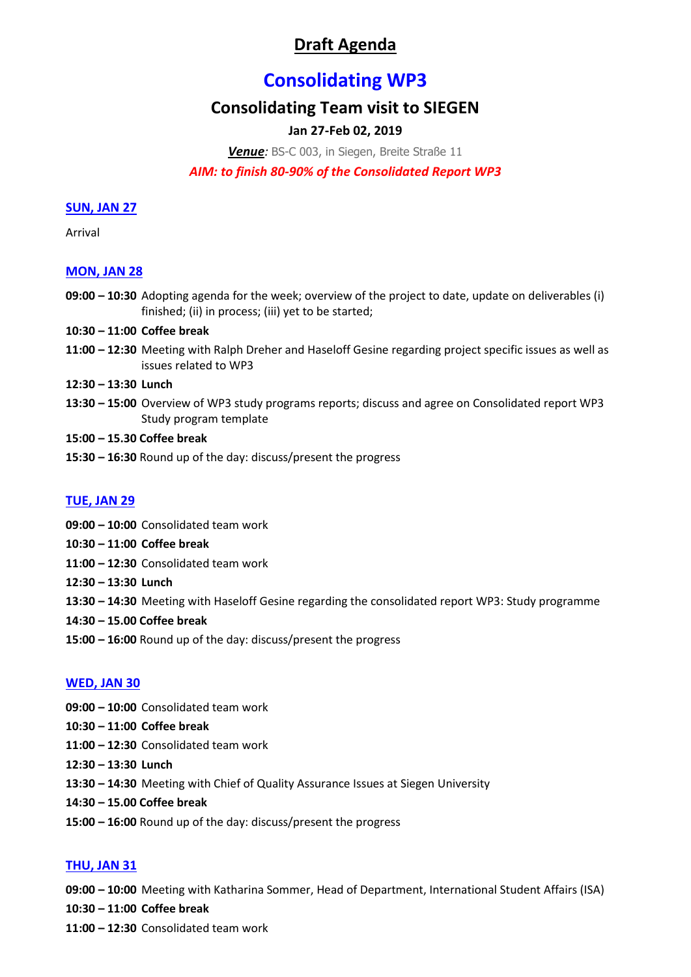# **Draft Agenda**

# **Consolidating WP3**

# **Consolidating Team visit to SIEGEN**

# **Jan 27-Feb 02, 2019**

*Venue:* BS-C 003, in Siegen, Breite Straße 11

## *AIM: to finish 80-90% of the Consolidated Report WP3*

#### **SUN, JAN 27**

Arrival

### **MON, JAN 28**

- **09:00 – 10:30** Adopting agenda for the week; overview of the project to date, update on deliverables (i) finished; (ii) in process; (iii) yet to be started;
- **10:30 – 11:00 Coffee break**
- **11:00 – 12:30** Meeting with Ralph Dreher and Haseloff Gesine regarding project specific issues as well as issues related to WP3
- **12:30 – 13:30 Lunch**
- **13:30 – 15:00** Overview of WP3 study programs reports; discuss and agree on Consolidated report WP3 Study program template
- **15:00 – 15.30 Coffee break**
- **15:30 – 16:30** Round up of the day: discuss/present the progress

### **TUE, JAN 29**

- **09:00 – 10:00** Consolidated team work
- **10:30 – 11:00 Coffee break**
- **11:00 – 12:30** Consolidated team work
- **12:30 – 13:30 Lunch**
- **13:30 – 14:30** Meeting with Haseloff Gesine regarding the consolidated report WP3: Study programme
- **14:30 – 15.00 Coffee break**
- **15:00 – 16:00** Round up of the day: discuss/present the progress

#### **WED, JAN 30**

- **09:00 – 10:00** Consolidated team work
- **10:30 – 11:00 Coffee break**
- **11:00 – 12:30** Consolidated team work
- **12:30 – 13:30 Lunch**
- **13:30 – 14:30** Meeting with Chief of Quality Assurance Issues at Siegen University
- **14:30 – 15.00 Coffee break**
- **15:00 – 16:00** Round up of the day: discuss/present the progress

### **THU, JAN 31**

**09:00 – 10:00** Meeting with Katharina Sommer, Head of Department, International Student Affairs (ISA)

**10:30 – 11:00 Coffee break**

**11:00 – 12:30** Consolidated team work